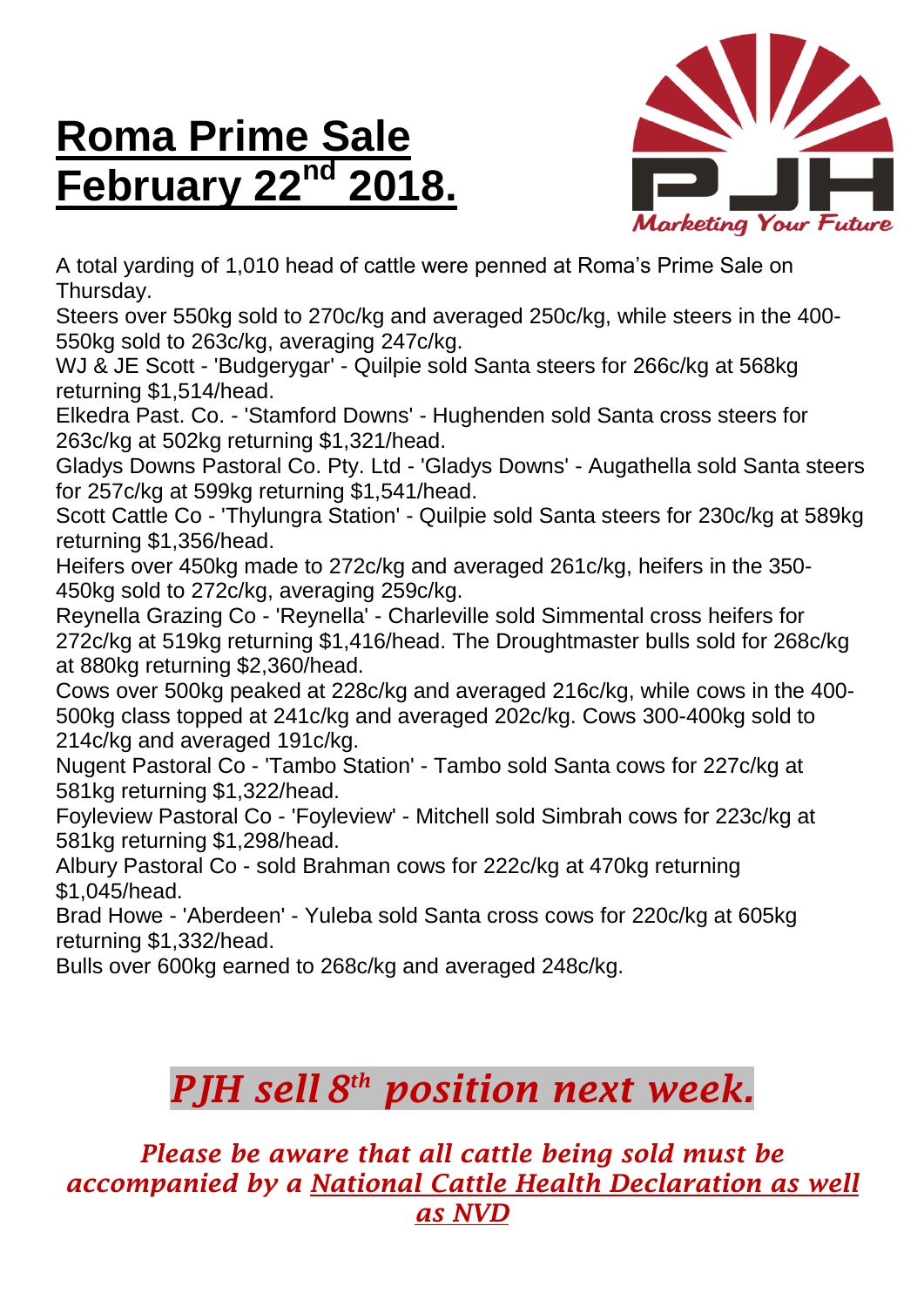## **Roma Prime Sale February 22 nd 2018.**



A total yarding of 1,010 head of cattle were penned at Roma's Prime Sale on Thursday.

Steers over 550kg sold to 270c/kg and averaged 250c/kg, while steers in the 400- 550kg sold to 263c/kg, averaging 247c/kg.

WJ & JE Scott - 'Budgerygar' - Quilpie sold Santa steers for 266c/kg at 568kg returning \$1,514/head.

Elkedra Past. Co. - 'Stamford Downs' - Hughenden sold Santa cross steers for 263c/kg at 502kg returning \$1,321/head.

Gladys Downs Pastoral Co. Pty. Ltd - 'Gladys Downs' - Augathella sold Santa steers for 257c/kg at 599kg returning \$1,541/head.

Scott Cattle Co - 'Thylungra Station' - Quilpie sold Santa steers for 230c/kg at 589kg returning \$1,356/head.

Heifers over 450kg made to 272c/kg and averaged 261c/kg, heifers in the 350- 450kg sold to 272c/kg, averaging 259c/kg.

Reynella Grazing Co - 'Reynella' - Charleville sold Simmental cross heifers for 272c/kg at 519kg returning \$1,416/head. The Droughtmaster bulls sold for 268c/kg at 880kg returning \$2,360/head.

Cows over 500kg peaked at 228c/kg and averaged 216c/kg, while cows in the 400- 500kg class topped at 241c/kg and averaged 202c/kg. Cows 300-400kg sold to 214c/kg and averaged 191c/kg.

Nugent Pastoral Co - 'Tambo Station' - Tambo sold Santa cows for 227c/kg at 581kg returning \$1,322/head.

Foyleview Pastoral Co - 'Foyleview' - Mitchell sold Simbrah cows for 223c/kg at 581kg returning \$1,298/head.

Albury Pastoral Co - sold Brahman cows for 222c/kg at 470kg returning \$1,045/head.

Brad Howe - 'Aberdeen' - Yuleba sold Santa cross cows for 220c/kg at 605kg returning \$1,332/head.

Bulls over 600kg earned to 268c/kg and averaged 248c/kg.

## *PJH sell 8 th position next week.*

*Please be aware that all cattle being sold must be accompanied by a National Cattle Health Declaration as well as NVD*